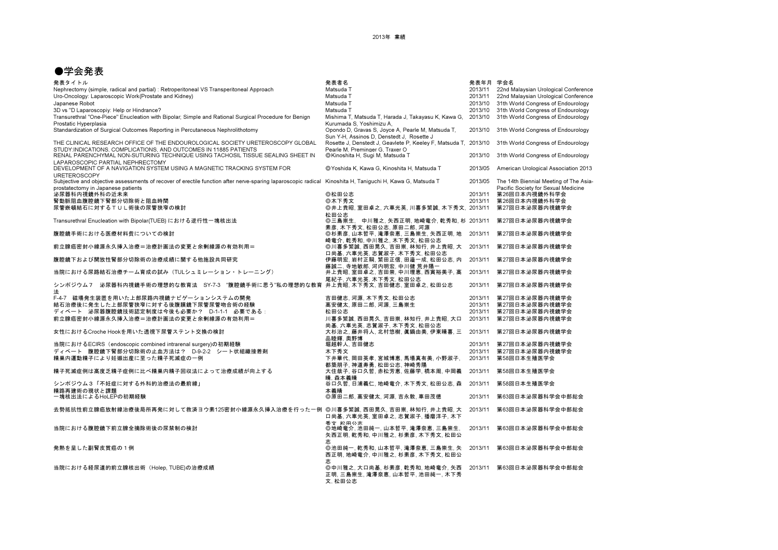## ●学会発表

| 発表タイトル                                                                                                                                                                                          | 発表者名                                                                                                         | 発表年月 学会名 |                                                                               |
|-------------------------------------------------------------------------------------------------------------------------------------------------------------------------------------------------|--------------------------------------------------------------------------------------------------------------|----------|-------------------------------------------------------------------------------|
| Nephrectomy (simple, radical and partial) : Retroperitoneal VS Transperitoneal Approach                                                                                                         | Matsuda T                                                                                                    | 2013/11  | 22nd Malaysian Urological Conference                                          |
| Uro-Oncology: Laparoscopic Work(Prostate and Kidney)                                                                                                                                            | Matsuda T                                                                                                    | 2013/11  | 22nd Malaysian Urological Conference                                          |
| Japanese Robot                                                                                                                                                                                  | Matsuda T                                                                                                    | 2013/10  | 31th World Congress of Endourology                                            |
| 3D vs "D Laparoscopiy: Help or Hindrance?                                                                                                                                                       | Matsuda T                                                                                                    | 2013/10  | 31th World Congress of Endourology                                            |
| Transurethral "One-Piece" Enucleation with Bipolar; Simple and Rational Surgical Procedure for Benign                                                                                           | Mishima T, Matsuda T, Harada J, Takayasu K, Kawa G, 2013/10                                                  |          | 31th World Congress of Endourology                                            |
| Prostatic Hyperplasia<br>Standardization of Surgical Outcomes Reporting in Percutaneous Nephrolithotomy                                                                                         | Kurumada S. Yoshimizu A.<br>Opondo D, Gravas S, Joyce A, Pearle M, Matsuda T,                                | 2013/10  | 31th World Congress of Endourology                                            |
| THE CLINICAL RESEARCH OFFICE OF THE ENDOUROLOGICAL SOCIETY URETEROSCOPY GLOBAL                                                                                                                  | Sun Y-H, Assinos D, Denstedt J, Rosette J<br>Rosette J, Denstedt J, Geavlete P, Keeley F, Matsuda T, 2013/10 |          | 31th World Congress of Endourology                                            |
| STUDY: INDICATIONS, COMPLICATIONS, AND OUTCOMES IN 11885 PATIENTS<br>RENAL PARENCHYMAL NON-SUTURING TECHNIQUE USING TACHOSIL TISSUE SEALING SHEET IN                                            | Pearle M. Preminger G. Traxer O<br>©Kinoshita H, Sugi M, Matsuda T                                           | 2013/10  | 31th World Congress of Endourology                                            |
| LAPAROSCOPIC PARTIAL NEPHRECTOMY<br>DEVELOPMENT OF A NAVIGATION SYSTEM USING A MAGNETIC TRACKING SYSTEM FOR<br><b>URETEROSCOPY</b>                                                              | ©Yoshida K. Kawa G. Kinoshita H. Matsuda T                                                                   | 2013/05  | American Urological Association 2013                                          |
| Subjective and objective assessments of recover of erectile function after nerve-sparing laparoscopic radical Kinoshita H, Taniguchi H, Kawa G, Matsuda T<br>prostatectomy in Japanese patients |                                                                                                              | 2013/05  | The 14th Biennial Meeting of The Asia-<br>Pacific Society for Sexual Medicine |
| 泌尿器科内視鏡外科の近未来                                                                                                                                                                                   | ◎松田公志                                                                                                        | 2013/11  | 第26回日本内視鏡外科学会                                                                 |
| 腎動脈阻血腹腔鏡下腎部分切除術と阻血時間                                                                                                                                                                            | ◎木下秀文                                                                                                        | 2013/11  | 第26回日本内視鏡外科学会                                                                 |
| 尿管嵌頓結石に対するTUL術後の尿管狭窄の検討                                                                                                                                                                         | ◎井上貴昭,室田卓之,六車光英,川喜多繁誠,木下秀文, 2013/11                                                                          |          | 第27回日本泌尿器内視鏡学会                                                                |
|                                                                                                                                                                                                 | 松田公志                                                                                                         |          |                                                                               |
| Transurethral Enucleation with Bipolar(TUEB) における逆行性一塊核出法                                                                                                                                       | ◎三島崇生, 中川雅之, 矢西正明, 地崎竜介, 乾秀和, 杉 2013/11<br>素彦, 木下秀文, 松田公志, 原田二郎, 河源                                          |          | 第27回日本泌尿器内視鏡学会                                                                |
| 腹腔鏡手術における医療材料費についての検討                                                                                                                                                                           | ◎杉素彦,山本哲平,滝澤奈恵,三島崇生,矢西正明,地<br>崎竜介,乾秀和,中川雅之,木下秀文,松田公志                                                         | 2013/11  | 第27回日本泌尿器内視鏡学会                                                                |
| 前立腺癌密封小線源永久挿入治療=治療計画法の変更と余剰線源の有効利用=                                                                                                                                                             | ◎川喜多繁誠,西田晃久,吉田崇,林知行,井上貴昭,大 2013/11<br>口尚基.六車光英.志賀淑子.木下秀文.松田公志                                                |          | 第27回日本泌尿器内視鏡学会                                                                |
| 腹腔鏡下および開放性腎部分切除術の治療成績に関する他施設共同研究                                                                                                                                                                | 伊藤明宏,岩村正嗣,繁田正信,田邉一成,松田公志,内 2013/11<br>藤誠二, 寺地敏郎, 河内明宏, 中川健 荒井陽一                                              |          | 第27回日本泌尿器内視鏡学会                                                                |
| 当院における尿路結石治療チーム育成の試み(TULシュミレーション・トレーニング)                                                                                                                                                        | 井上貴昭,室田卓之,吉田崇,中川理恵,西寅裕美子,高<br>尾紀子. 六車光英. 木下秀文. 松田公志                                                          | 2013/11  | 第27回日本泌尿器内視鏡学会                                                                |
| シンポジウム7 泌尿器科内視鏡手術の理想的な教育法 SY-7-3 "腹腔鏡手術に思う"私の理想的な教育  井上貴昭, 木下秀文, 吉田健志, 室田卓之, 松田公志<br>法                                                                                                          |                                                                                                              | 2013/11  | 第27回日本泌尿器内視鏡学会                                                                |
| F-4-7 磁場発生装置を用いた上部尿路内視鏡ナビゲーションシステムの開発                                                                                                                                                           | 吉田健志,河源,木下秀文,松田公志                                                                                            | 2013/11  | 第27回日本泌尿器内視鏡学会                                                                |
| 結石治療後に発生した上部尿管狭窄に対する後腹膜鏡下尿管尿管吻合術の経験                                                                                                                                                             | 高安健太,原田二郎,河源,三島崇生                                                                                            | 2013/11  | 第27回日本泌尿器内視鏡学会                                                                |
| ディベート 泌尿器腹腔鏡技術認定制度は今後も必要か? D-1-1-1 必要である:                                                                                                                                                       | 松田公志                                                                                                         | 2013/11  | 第27回日本泌尿器内視鏡学会                                                                |
| 前立腺癌密封小線源永久挿入治療=治療計画法の変更と余剰線源の有効利用=                                                                                                                                                             | 川喜多繁誠,西田晃久,吉田崇,林知行,井上貴昭,大口                                                                                   | 2013/11  | 第27回日本泌尿器内視鏡学会                                                                |
| 女性におけるCroche Hookを用いた透視下尿管ステント交換の検討                                                                                                                                                             | 尚基、六車光英、志賀淑子、木下秀文、松田公志<br>大杉治之,藤井将人,北村悠樹,眞鍋由美,伊東晴喜,三<br>品睦輝. 奧野博                                             | 2013/11  | 第27回日本泌尿器内視鏡学会                                                                |
| 当院におけるECIRS(endoscopic combined intrarenal surgery)の初期経験                                                                                                                                        | 堀越幹人, 吉田健志                                                                                                   | 2013/11  | 第27回日本泌尿器内視鏡学会                                                                |
| ディベート 腹腔鏡下腎部分切除術の止血方法は? D-9-2-2 シート状組織接着剤                                                                                                                                                       | 木下秀文                                                                                                         | 2013/11  | 第27回日本泌尿器内視鏡学会                                                                |
| 精巣内運動精子により妊娠出産に至った精子死滅症の一例                                                                                                                                                                      | 下井華代,岡田英孝,宮城博恵,馬場真有美,小野淑子,<br>都築朋子、神道寿勇、松田公志、神崎秀陽                                                            | 2013/11  | 第58回日本生殖医学会                                                                   |
| 精子死滅症例は高度乏精子症例に比べ精巣内精子回収法によって治療成績が向上する                                                                                                                                                          | 大住哉子, 谷口久哲, 赤松芳恵, 佐藤学, 橋本周, 中岡義<br>晴. 森本義晴                                                                   | 2013/11  | 第58回日本生殖医学会                                                                   |
| シンポジウム3「不妊症に対する外科的治療法の最前線」<br>精路再建術の現状と課題                                                                                                                                                       | 谷口久哲,日浦義仁,地崎竜介,木下秀文,松田公志,森<br>本義晴                                                                            | 2013/11  | 第58回日本生殖医学会                                                                   |
| 一塊核出法によるHoLEPの初期経験                                                                                                                                                                              | ◎原田二郎, 高安健太, 河源, 吉永敦, 車田茂徳                                                                                   | 2013/11  | 第63回日本泌尿器科学会中部総会                                                              |
| 去勢抵抗性前立腺癌放射線治療後局所再発に対して救済ヨウ素125密封小線源永久挿入治療を行った一例  ◎川喜多繁誠, 西田晃久, 吉田崇, 林知行, 井上貴昭, 大                                                                                                               | 口尚基,六車光英,室田卓之,志賀淑子,播磨洋子,木下<br>委文 松田公志                                                                        | 2013/11  | 第63回日本泌尿器科学会中部総会                                                              |
| 当院における腹腔鏡下前立腺全摘除術後の尿禁制の検討                                                                                                                                                                       | ◎地崎竜介,池田純一,山本哲平,滝澤奈恵,三島崇生,<br>矢西正明、乾秀和、中川雅之、杉素彦、木下秀文、松田公                                                     | 2013/11  | 第63回日本泌尿器科学会中部総会                                                              |
| 発熱を呈した副腎皮質癌の1例                                                                                                                                                                                  | ◎池田純一, 乾秀和, 山本哲平, 滝澤奈恵, 三島崇生, 矢<br>西正明, 地崎竜介, 中川雅之, 杉素彦, 木下秀文, 松田公                                           | 2013/11  | 第63回日本泌尿器科学会中部総会                                                              |
| 当院における経尿道的前立腺核出術(Holep, TUBE)の治療成績                                                                                                                                                              | 志<br>◎中川雅之, 大口尚基, 杉素彦, 乾秀和, 地崎竜介, 矢西<br>正明,三島崇生,滝澤奈恵,山本哲平,池田純一,木下秀<br>文. 松田公志                                | 2013/11  | 第63回日本泌尿器科学会中部総会                                                              |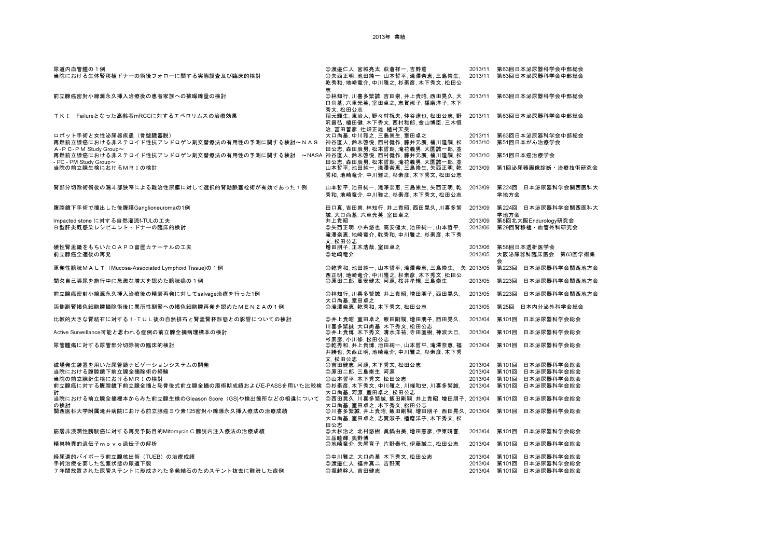| 尿道内血管腫の1例<br>当院における生体腎移植ドナーの術後フォローに関する実態調査及び臨床的検討                                                     | ◎渡邉仁人, 宮城亮太, 萩倉祥一, 吉野薫<br>◎矢西正明,池田純一,山本哲平,滝澤奈恵,三島崇生,<br>乾秀和, 地崎竜介, 中川雅之, 杉素彦, 木下秀文, 松田公<br>志     | 2013/11<br>2013/11            | 第63回日本泌尿器科学会中部総会<br>第63回日本泌尿器科学会中部総会                           |  |
|-------------------------------------------------------------------------------------------------------|--------------------------------------------------------------------------------------------------|-------------------------------|----------------------------------------------------------------|--|
| 前立腺癌密封小線源永久挿入治療後の患者家族への被曝線量の検討                                                                        | ◎林知行,川喜多繁誠,吉田崇,井上貴昭,西田晃久,大<br>口尚基,六車光英,室田卓之,志賀淑子,播磨洋子,木下                                         | 2013/11                       | 第63回日本泌尿器科学会中部総会                                               |  |
| TKI Failureとなった高齢者mRCCに対するエベロリムスの治療効果                                                                 | 秀文. 松田公志<br>稲元輝生, 東治人, 野々村祝夫, 仲谷達也, 松田公志, 野<br>沢昌弘、植田健、木下秀文、西村和郎、金山博臣、三木恒<br>治,富田善彦,辻畑正雄,植村天受    | 2013/11                       | 第63回日本泌尿器科学会中部総会                                               |  |
| 口ボット手術と女性泌尿器疾患(骨盤臓器脱)<br>再燃前立腺癌における非ステロイド性抗アンドロゲン剤交替療法の有用性の予測に関する検討~NAS<br>A - P C - P M Study Group~ | 大口尚基, 中川雅之, 三島崇生, 室田卓之<br>神谷直人, 鈴木啓悦, 西村健作, 藤井元廣, 桶川隆嗣, 松<br>田公志,森田辰男,松本哲朗,滝花義男,大園誠一郎,並          | 2013/11<br>2013/10            | 第63回日本泌尿器科学会中部総会<br>第51回日本がん治療学会                               |  |
| 再燃前立腺癌における非ステロイド性抗アンドロゲン剤交替療法の有用性の予測に関する検討 ~NASA 神谷直人, 鈴木啓悦, 西村健作, 藤井元廣, 桶川隆嗣, 松                      |                                                                                                  | 2013/10                       | 第51回日本癌治療学会                                                    |  |
| - PC - PM Study Group~<br>当院の前立腺生検におけるMRIの検討                                                          | 田公志,森田辰男,松本哲朗,滝花義男,大園誠一郎,並<br>山本哲平, 池田純一, 滝澤奈恵, 三島崇生, 矢西正明, 乾<br>秀和, 地崎竜介, 中川雅之, 杉素彦, 木下秀文, 松田公志 | 2013/09                       | 第1回泌尿器画像診断・治療技術研究会                                             |  |
| 腎部分切除術術後の漏斗部狭窄による難治性尿瘻に対して選択的腎動脈塞栓術が有効であった1例                                                          | 山本哲平, 池田純一, 滝澤奈恵, 三島崇生, 矢西正明, 乾<br>秀和,地崎竜介,中川雅之,杉素彦,木下秀文,松田公志                                    | 2013/09                       | 第224回 日本泌尿器科学会関西医科大<br>学地方会                                    |  |
| 腹腔鏡下手術で摘出した後腹膜Ganglioneuromaの1例                                                                       | 田口真, 吉田崇, 林知行, 井上貴昭, 西田晃久, 川喜多繁<br>誠、大口尚基、六車光英、室田卓之                                              | 2013/09                       | 第224回 日本泌尿器科学会関西医科大<br>学地方会                                    |  |
| Impacted stone に対する自然灌流f-TULの工夫<br>B型肝炎既感染レシピエント・ドナーの臨床的検討                                            | 井上貴昭<br>◎矢西正明, 小糸悠也, 高安健太, 池田純一, 山本哲平,<br>滝澤奈恵, 地崎竜介, 乾秀和, 中川雅之, 杉素彦, 木下秀                        | 2013/09<br>2013/06            | 第8回北大阪Endurology研究会<br>第29回腎移植・血管外科研究会                         |  |
| 硬性腎盂鏡をもちいたCAPD留置カテーテルの工夫<br>前立腺癌全適後の再発                                                                | 文. 松田公志<br>増田朋子, 正木浩哉, 室田卓之<br>◎地崎竜介                                                             | 2013/06<br>2013/05            | 第58回日本透析医学会<br>大阪泌尿器科臨床医会 第63回学術集<br>会                         |  |
| 原発性膀胱MALT(Mucosa-Associated Lymphoid Tissue)の1例                                                       | ◎乾秀和、池田純一、山本哲平、滝澤奈恵、三島崇生、 矢 2013/05                                                              |                               | 第223回<br>日本泌尿器科学会関西地方会                                         |  |
| 間欠自己導尿を施行中に急激な増大を認めた膀胱癌の1例                                                                            | 西正明, 地崎竜介, 中川雅之, 杉素彦, 木下秀文, 松田公<br>◎原田二郎、高安健太、河源、桜井孝規、三島崇生                                       | 2013/05                       | 第223回<br>日本泌尿器科学会関西地方会                                         |  |
| 前立腺癌密封小線源永久挿入治療後の精嚢再発に対してsalvage治療を行った1例                                                              | ◎林知行、川喜多繁誠、井上貴昭、増田朋子、西田晃久、                                                                       | 2013/05                       | 第223回<br>日本泌尿器科学会関西地方会                                         |  |
| 両側副腎褐色細胞腫摘除術後に異所性副腎への褐色細胞腫再発を認めたMEN2Aの1例                                                              | 大口尚基,室田卓之<br>◎滝澤奈恵. 乾秀和. 木下秀文. 松田公志                                                              | 2013/05                       | 第25回<br>日本内分泌外科学会総会                                            |  |
| 比較的大きな腎結石に対する f - T U L 後の自然排石と腎盂腎杯形態との影響についての検討                                                      | ◎井上貴昭,室田卓之,飯田剛嗣,増田朋子,西田晃久,                                                                       | 2013/04                       | 第101回<br>日本泌尿器科学会総会                                            |  |
| Active Surveillance可能と思われる症例の前立腺全摘病理標本の検討                                                             | 川喜多繁誠、大口尚基、木下秀文、松田公志<br>◎井上貴博, 木下秀文, 清水洋祐, 寺田直樹, 神波大己,                                           | 2013/04                       | 第101回<br>日本泌尿器科学会総会                                            |  |
| 尿管腫瘍に対する尿管部分切除術の臨床的検討                                                                                 | 杉素彦、小川修、松田公志<br>◎乾秀和,井上貴博,池田純一,山本哲平,滝澤奈恵,福<br>井勝也、矢西正明、地崎竜介、中川雅之、杉素彦、木下秀<br>文. 松田公志              | 2013/04                       | 第101回<br>日本泌尿器科学会総会                                            |  |
| 磁場発生装置を用いた尿管鏡ナビゲーションシステムの開発<br>当院における腹腔鏡下前立腺全摘除術の経験                                                   | ◎吉田健志,河源,木下秀文,松田公志                                                                               | 2013/04<br>2013/04            | 日本泌尿器科学会総会<br>第101回<br>日本泌尿器科学会総会<br>第101回                     |  |
| 当院の前立腺針生検におけるMRIの検討                                                                                   | ◎原田二郎,三島崇生,河源<br>◎山本哲平, 木下秀文, 松田公志                                                               | 2013/04                       | 第101回<br>日本泌尿器科学会総会                                            |  |
| 前立腺癌に対する腹腔鏡下前立腺全摘と恥骨後式前立腺全摘の周術期成績およびE-PASSを用いた比較検  ◎杉素彦. 木下秀文. 中川雅之. 川端和史. 川喜多繁誠.                     |                                                                                                  | 2013/04                       | 日本泌尿器科学会総会<br>第101回                                            |  |
| 討<br>当院における前立腺全摘標本からみた前立腺生検のGleason Score(GS)や検出箇所などの相違について ⑥西田晃久, 川喜多繁誠, 飯田剛嗣, 井上貴昭, 増田朋子, 2013/04   | 大口尚基,河源,室田卓之,松田公志                                                                                |                               | 第101回<br>日本泌尿器科学会総会                                            |  |
| の検討<br>関西医科大学附属滝井病院における前立腺癌ヨウ素125密封小線源永久挿入療法の治療成績                                                     | 大口尚基,室田卓之, 木下秀文, 松田公志<br>◎川喜多繁誠,井上貴昭,飯田剛嗣,増田朋子,西田晃久, 2013/04<br>大口尚基,室田卓之,志賀淑子,播磨洋子,木下秀文,松       |                               | 第101回<br>日本泌尿器科学会総会                                            |  |
| 筋層非浸潤性膀胱癌に対する再発予防目的Mitomycin C 膀胱内注入療法の治療成績                                                           | 田公志<br>◎大杉治之,北村悠樹,眞鍋由美,増田憲彦,伊東晴喜,                                                                | 2013/04                       | 日本泌尿器科学会総会<br>第101回                                            |  |
| 精巣特異的遺伝子movo遺伝子の解析                                                                                    | 三品睦輝,奥野博<br>◎地崎竜介, 矢尾育子, 片野泰代, 伊藤誠二, 松田公志                                                        | 2013/04                       | 日本泌尿器科学会総会<br>第101回                                            |  |
| 経尿道的バイポーラ前立腺核出術(TUEB)の治療成績<br>手術治療を要した包茎状態の尿道下裂<br>7年間放置された尿管ステントに形成された多発結石のためステント抜去に難渋した症例           | ◎中川雅之,大口尚基,木下秀文,松田公志<br>◎渡邉仁人,福井真二,吉野薫<br>◎堀越幹人, 吉田健志                                            | 2013/04<br>2013/04<br>2013/04 | 日本泌尿器科学会総会<br>第101回<br>第101回<br>日本泌尿器科学会総会<br>第101回 日本泌尿器科学会総会 |  |
|                                                                                                       |                                                                                                  |                               |                                                                |  |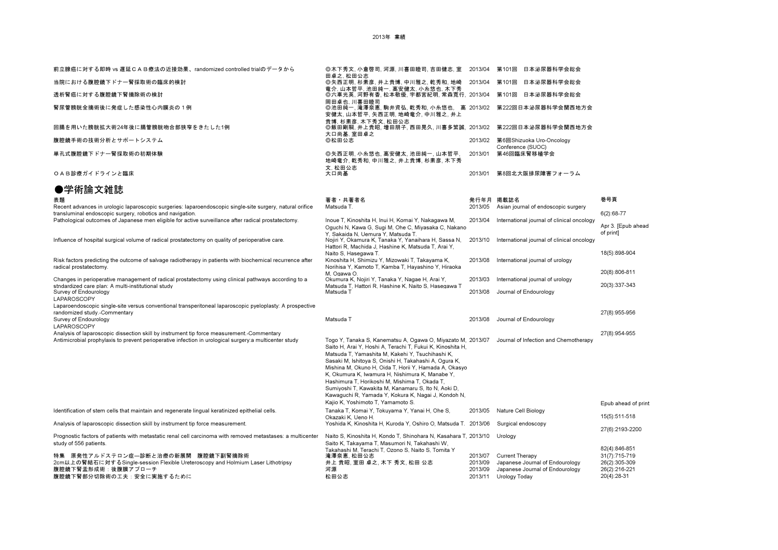2013年 業績

| 前立腺癌に対する即時 vs 遅延CAB療法の近接効果、randomized controlled trialのデータから                                                                                                            | ◎木下秀文, 小倉啓司, 河源, 川喜田睦司, 吉田健志, 室                                                                                                                                                                                                                                                                                                                                                                                                                                                                                                                        | 2013/04                                  | 第101回<br>日本泌尿器科学会総会                                                                                    |                                                                |
|-------------------------------------------------------------------------------------------------------------------------------------------------------------------------|--------------------------------------------------------------------------------------------------------------------------------------------------------------------------------------------------------------------------------------------------------------------------------------------------------------------------------------------------------------------------------------------------------------------------------------------------------------------------------------------------------------------------------------------------------|------------------------------------------|--------------------------------------------------------------------------------------------------------|----------------------------------------------------------------|
| 当院における腹腔鏡下ドナー腎採取術の臨床的検討                                                                                                                                                 | 田卓之, 松田公志<br>◎矢西正明,杉素彦,井上貴博,中川雅之,乾秀和,地崎<br>竜介, 山本哲平, 池田純一, 高安健太, 小糸悠也, 木下秀                                                                                                                                                                                                                                                                                                                                                                                                                                                                             | 2013/04                                  | 日本泌尿器科学会総会<br>第101回                                                                                    |                                                                |
| 透析腎癌に対する腹腔鏡下腎摘除術の検討                                                                                                                                                     | ◎六車光英, 河野有香, 松本敬優, 宇都宮紀明, 常森寛行, 2013/04                                                                                                                                                                                                                                                                                                                                                                                                                                                                                                                |                                          | 第101回<br>日本泌尿器科学会総会                                                                                    |                                                                |
| 腎尿管膀胱全摘術後に発症した感染性心内膜炎の1例                                                                                                                                                | 岡田卓也, 川喜田睦司<br>◎池田純一,滝澤奈恵,駒井資弘,乾秀和,小糸悠也, 高 2013/02<br>安健太、山本哲平、矢西正明、地崎竜介、中川雅之、井上                                                                                                                                                                                                                                                                                                                                                                                                                                                                       |                                          | 第222回日本泌尿器科学会関西地方会                                                                                     |                                                                |
| 回腸を用いた膀胱拡大術24年後に腸管膀胱吻合部狭窄をきたした1例                                                                                                                                        | 貴博, 杉素彦, 木下秀文, 松田公志<br>◎飯田剛嗣,井上貴昭,増田朋子,西田晃久,川喜多繁誠, 2013/02<br>大口尚基.室田卓之                                                                                                                                                                                                                                                                                                                                                                                                                                                                                |                                          | 第222回日本泌尿器科学会関西地方会                                                                                     |                                                                |
| 腹腔鏡手術の技術分析とサポートシステム                                                                                                                                                     | ◎松田公志                                                                                                                                                                                                                                                                                                                                                                                                                                                                                                                                                  | 2013/02                                  | 第6回Shizuoka Uro-Oncology<br>Conference (SUOC)                                                          |                                                                |
| 単孔式腹腔鏡下ドナー腎採取術の初期体験                                                                                                                                                     | ◎矢西正明. 小糸悠也. 高安健太. 池田純一. 山本哲平.<br>地崎竜介, 乾秀和, 中川雅之, 井上貴博, 杉素彦, 木下秀<br>文. 松田公志                                                                                                                                                                                                                                                                                                                                                                                                                                                                           | 2013/01                                  | 第46回臨床腎移植学会                                                                                            |                                                                |
| OAB診療ガイドラインと臨床                                                                                                                                                          | 大口尚基                                                                                                                                                                                                                                                                                                                                                                                                                                                                                                                                                   | 2013/01                                  | 第8回北大阪排尿障害フォーラム                                                                                        |                                                                |
| ●学術論文雑誌                                                                                                                                                                 |                                                                                                                                                                                                                                                                                                                                                                                                                                                                                                                                                        |                                          |                                                                                                        |                                                                |
| 表題                                                                                                                                                                      | 著者 共著者名                                                                                                                                                                                                                                                                                                                                                                                                                                                                                                                                                |                                          | 発行年月 掲載誌名                                                                                              | 巻号頁                                                            |
| Recent advances in urologic laparoscopic surgeries: laparoendoscopic single-site surgery, natural orifice<br>transluminal endoscopic surgery, robotics and navigation.  | Matsuda T.                                                                                                                                                                                                                                                                                                                                                                                                                                                                                                                                             | 2013/05                                  | Asian journal of endoscopic surgery                                                                    | 6(2):68-77                                                     |
| Pathological outcomes of Japanese men eligible for active surveillance after radical prostatectomy.                                                                     | Inoue T, Kinoshita H, Inui H, Komai Y, Nakagawa M,<br>Oguchi N, Kawa G, Sugi M, Ohe C, Miyasaka C, Nakano                                                                                                                                                                                                                                                                                                                                                                                                                                              | 2013/04                                  | International journal of clinical oncology                                                             | Apr 3. [Epub ahead<br>of print]                                |
| Influence of hospital surgical volume of radical prostatectomy on quality of perioperative care.                                                                        | Y. Sakaida N. Uemura Y. Matsuda T.<br>Nojiri Y, Okamura K, Tanaka Y, Yanaihara H, Sassa N,<br>Hattori R, Machida J, Hashine K, Matsuda T, Arai Y,<br>Naito S. Hasegawa T.                                                                                                                                                                                                                                                                                                                                                                              | 2013/10                                  | International journal of clinical oncology                                                             | 18(5):898-904                                                  |
| Risk factors predicting the outcome of salvage radiotherapy in patients with biochemical recurrence after<br>radical prostatectomy.                                     | Kinoshita H, Shimizu Y, Mizowaki T, Takayama K,<br>Norihisa Y, Kamoto T, Kamba T, Hayashino Y, Hiraoka<br>M. Ogawa O.                                                                                                                                                                                                                                                                                                                                                                                                                                  | 2013/08                                  | International journal of urology                                                                       | 20(8):806-811                                                  |
| Changes in perioperative management of radical prostatectomy using clinical pathways according to a                                                                     | Okumura K, Nojiri Y, Tanaka Y, Nagae H, Arai Y,                                                                                                                                                                                                                                                                                                                                                                                                                                                                                                        | 2013/03                                  | International journal of urology                                                                       |                                                                |
| stndardized care plan: A multi-institutional study<br>Survey of Endourology<br><b>LAPAROSCOPY</b>                                                                       | Matsuda T. Hattori R. Hashine K. Naito S. Hasegawa T.<br>Matsuda T                                                                                                                                                                                                                                                                                                                                                                                                                                                                                     | 2013/08                                  | Journal of Endourology                                                                                 | 20(3):337-343                                                  |
| Laparoendoscopic single-site versus conventional transperitoneal laparoscopic pyeloplasty: A prospective<br>randomized study.-Commentary<br>Survey of Endourology       | Matsuda T                                                                                                                                                                                                                                                                                                                                                                                                                                                                                                                                              | 2013/08                                  | Journal of Endourology                                                                                 | 27(8):955-956                                                  |
| <b>LAPAROSCOPY</b><br>Analysis of laparoscopic dissection skill by instrument tip force measurement.-Commentary                                                         |                                                                                                                                                                                                                                                                                                                                                                                                                                                                                                                                                        |                                          |                                                                                                        | 27(8):954-955                                                  |
| Antimicrobial prophylaxis to prevent perioperative infection in urological surgery:a multicenter study                                                                  | Togo Y, Tanaka S, Kanematsu A, Ogawa O, Miyazato M, 2013/07<br>Saito H, Arai Y, Hoshi A, Terachi T, Fukui K, Kinoshita H,<br>Matsuda T, Yamashita M, Kakehi Y, Tsuchihashi K,<br>Sasaki M, Ishitoya S, Onishi H, Takahashi A, Ogura K,<br>Mishina M, Okuno H, Oida T, Horii Y, Hamada A, Okasyo<br>K, Okumura K, Iwamura H, Nishimura K, Manabe Y,<br>Hashimura T, Horikoshi M, Mishima T, Okada T,<br>Sumiyoshi T, Kawakita M, Kanamaru S, Ito N, Aoki D,<br>Kawaguchi R, Yamada Y, Kokura K, Nagai J, Kondoh N,<br>Kajio K, Yoshimoto T, Yamamoto S. |                                          | Journal of Infection and Chemotherapy                                                                  | Epub ahead of print                                            |
| Identification of stem cells that maintain and regenerate lingual keratinized epithelial cells.                                                                         | Tanaka T, Komai Y, Tokuyama Y, Yanai H, Ohe S,<br>Okazaki K. Ueno H.                                                                                                                                                                                                                                                                                                                                                                                                                                                                                   | 2013/05                                  | Nature Cell Biology                                                                                    | 15(5):511-518                                                  |
| Analysis of laparoscopic dissection skill by instrument tip force measurement.                                                                                          | Yoshida K, Kinoshita H, Kuroda Y, Oshiro O, Matsuda T. 2013/06                                                                                                                                                                                                                                                                                                                                                                                                                                                                                         |                                          | Surgical endoscopy                                                                                     | 27(6):2193-2200                                                |
| Prognostic factors of patients with metastatic renal cell carcinoma with removed metastases: a multicenter<br>study of 556 patients.                                    | Naito S, Kinoshita H, Kondo T, Shinohara N, Kasahara T, 2013/10<br>Saito K, Takayama T, Masumori N, Takahashi W,<br>Takahashi M. Terachi T. Ozono S. Naito S. Tomita Y                                                                                                                                                                                                                                                                                                                                                                                 |                                          | Urology                                                                                                | 82(4):846-851                                                  |
| 特集 原発性アルドステロン症―診断と治療の新展開 腹腔鏡下副腎摘除術<br>2cm以上の腎結石に対するSingle-session Flexible Ureteroscopy and Holmium Laser Lithotripsy<br>腹腔鏡下腎盂形成術:後腹膜アプローチ<br>腹腔鏡下腎部分切除術の工夫:安全に実施するために | 滝澤奈恵, 松田公志<br>井上 貴昭, 室田 卓之, 木下 秀文, 松田 公志<br>河源<br>松田公志                                                                                                                                                                                                                                                                                                                                                                                                                                                                                                 | 2013/07<br>2013/09<br>2013/09<br>2013/11 | Current Therapy<br>Japanese Journal of Endourology<br>Japanese Journal of Endourology<br>Urology Today | 31(7):715-719<br>26(2):305-309<br>26(2):216-221<br>20(4):28-31 |
|                                                                                                                                                                         |                                                                                                                                                                                                                                                                                                                                                                                                                                                                                                                                                        |                                          |                                                                                                        |                                                                |